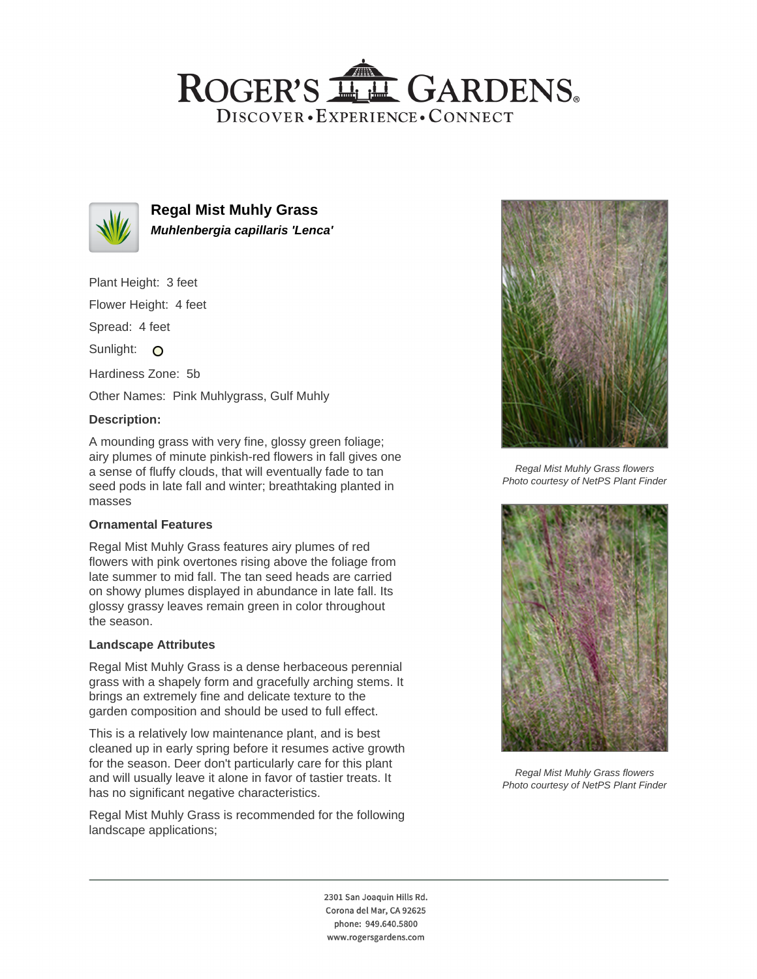## ROGER'S LL GARDENS. DISCOVER · EXPERIENCE · CONNECT



**Regal Mist Muhly Grass Muhlenbergia capillaris 'Lenca'**

Plant Height: 3 feet

Flower Height: 4 feet

Spread: 4 feet

Sunlight: O

Hardiness Zone: 5b

Other Names: Pink Muhlygrass, Gulf Muhly

### **Description:**

A mounding grass with very fine, glossy green foliage; airy plumes of minute pinkish-red flowers in fall gives one a sense of fluffy clouds, that will eventually fade to tan seed pods in late fall and winter; breathtaking planted in masses

## **Ornamental Features**

Regal Mist Muhly Grass features airy plumes of red flowers with pink overtones rising above the foliage from late summer to mid fall. The tan seed heads are carried on showy plumes displayed in abundance in late fall. Its glossy grassy leaves remain green in color throughout the season.

#### **Landscape Attributes**

Regal Mist Muhly Grass is a dense herbaceous perennial grass with a shapely form and gracefully arching stems. It brings an extremely fine and delicate texture to the garden composition and should be used to full effect.

This is a relatively low maintenance plant, and is best cleaned up in early spring before it resumes active growth for the season. Deer don't particularly care for this plant and will usually leave it alone in favor of tastier treats. It has no significant negative characteristics.

Regal Mist Muhly Grass is recommended for the following landscape applications;



Regal Mist Muhly Grass flowers Photo courtesy of NetPS Plant Finder



Regal Mist Muhly Grass flowers Photo courtesy of NetPS Plant Finder

2301 San Joaquin Hills Rd. Corona del Mar, CA 92625 phone: 949.640.5800 www.rogersgardens.com